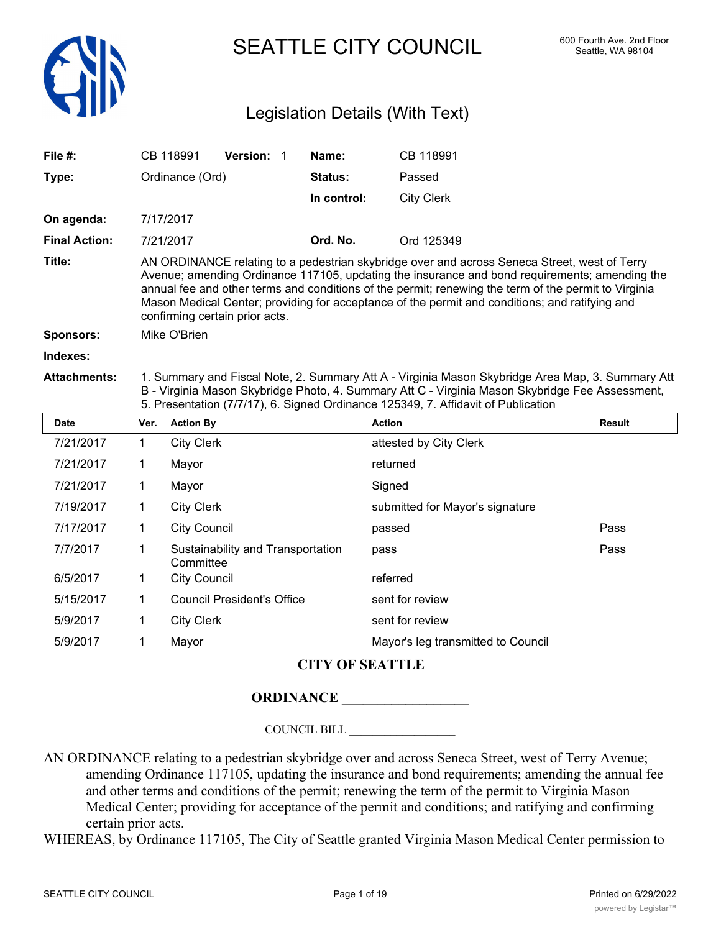

SEATTLE CITY COUNCIL 600 Fourth Ave. 2nd Floor

# Legislation Details (With Text)

| File #:              |                                                                                                                                                                                                                                                                                                                                                                                                                                           | CB 118991                                      | Version: 1                        |  | Name:       | CB 118991                       |               |
|----------------------|-------------------------------------------------------------------------------------------------------------------------------------------------------------------------------------------------------------------------------------------------------------------------------------------------------------------------------------------------------------------------------------------------------------------------------------------|------------------------------------------------|-----------------------------------|--|-------------|---------------------------------|---------------|
| Type:                | Ordinance (Ord)                                                                                                                                                                                                                                                                                                                                                                                                                           |                                                |                                   |  | Status:     | Passed                          |               |
|                      |                                                                                                                                                                                                                                                                                                                                                                                                                                           |                                                |                                   |  | In control: | <b>City Clerk</b>               |               |
| On agenda:           |                                                                                                                                                                                                                                                                                                                                                                                                                                           | 7/17/2017                                      |                                   |  |             |                                 |               |
| <b>Final Action:</b> |                                                                                                                                                                                                                                                                                                                                                                                                                                           | 7/21/2017                                      |                                   |  | Ord. No.    | Ord 125349                      |               |
| Title:               | AN ORDINANCE relating to a pedestrian skybridge over and across Seneca Street, west of Terry<br>Avenue; amending Ordinance 117105, updating the insurance and bond requirements; amending the<br>annual fee and other terms and conditions of the permit; renewing the term of the permit to Virginia<br>Mason Medical Center; providing for acceptance of the permit and conditions; and ratifying and<br>confirming certain prior acts. |                                                |                                   |  |             |                                 |               |
| <b>Sponsors:</b>     | Mike O'Brien                                                                                                                                                                                                                                                                                                                                                                                                                              |                                                |                                   |  |             |                                 |               |
| Indexes:             |                                                                                                                                                                                                                                                                                                                                                                                                                                           |                                                |                                   |  |             |                                 |               |
| <b>Attachments:</b>  | 1. Summary and Fiscal Note, 2. Summary Att A - Virginia Mason Skybridge Area Map, 3. Summary Att<br>B - Virginia Mason Skybridge Photo, 4. Summary Att C - Virginia Mason Skybridge Fee Assessment,<br>5. Presentation (7/7/17), 6. Signed Ordinance 125349, 7. Affidavit of Publication                                                                                                                                                  |                                                |                                   |  |             |                                 |               |
| <b>Date</b>          | Ver.                                                                                                                                                                                                                                                                                                                                                                                                                                      | <b>Action By</b>                               |                                   |  |             | <b>Action</b>                   | <b>Result</b> |
| 7/21/2017            | $\mathbf 1$                                                                                                                                                                                                                                                                                                                                                                                                                               | <b>City Clerk</b>                              |                                   |  |             | attested by City Clerk          |               |
| 7/21/2017            | 1                                                                                                                                                                                                                                                                                                                                                                                                                                         | Mayor                                          |                                   |  |             | returned                        |               |
| 7/21/2017            | 1                                                                                                                                                                                                                                                                                                                                                                                                                                         | Mayor                                          |                                   |  |             | Signed                          |               |
| 7/19/2017            | $\mathbf 1$<br><b>City Clerk</b>                                                                                                                                                                                                                                                                                                                                                                                                          |                                                |                                   |  |             | submitted for Mayor's signature |               |
| 7/17/2017            | $\mathbf 1$                                                                                                                                                                                                                                                                                                                                                                                                                               | <b>City Council</b>                            |                                   |  |             | passed                          | Pass          |
| 7/7/2017             | $\mathbf 1$                                                                                                                                                                                                                                                                                                                                                                                                                               | Sustainability and Transportation<br>Committee |                                   |  | pass        | Pass                            |               |
| 6/5/2017             | $\mathbf 1$                                                                                                                                                                                                                                                                                                                                                                                                                               | <b>City Council</b>                            |                                   |  |             | referred                        |               |
| 5/15/2017            | $\mathbf{1}$                                                                                                                                                                                                                                                                                                                                                                                                                              |                                                | <b>Council President's Office</b> |  |             | sent for review                 |               |
| 5/9/2017             | <b>City Clerk</b><br>1                                                                                                                                                                                                                                                                                                                                                                                                                    |                                                |                                   |  |             | sent for review                 |               |
| 5/9/2017             | 1                                                                                                                                                                                                                                                                                                                                                                                                                                         | Mayor                                          |                                   |  |             |                                 |               |

# **CITY OF SEATTLE**

# **ORDINANCE \_\_\_\_\_\_\_\_\_\_\_\_\_\_\_\_\_\_**

COUNCIL BILL \_\_\_\_\_\_\_\_\_\_\_\_\_\_\_\_\_\_

AN ORDINANCE relating to a pedestrian skybridge over and across Seneca Street, west of Terry Avenue; amending Ordinance 117105, updating the insurance and bond requirements; amending the annual fee and other terms and conditions of the permit; renewing the term of the permit to Virginia Mason Medical Center; providing for acceptance of the permit and conditions; and ratifying and confirming certain prior acts.

WHEREAS, by Ordinance 117105, The City of Seattle granted Virginia Mason Medical Center permission to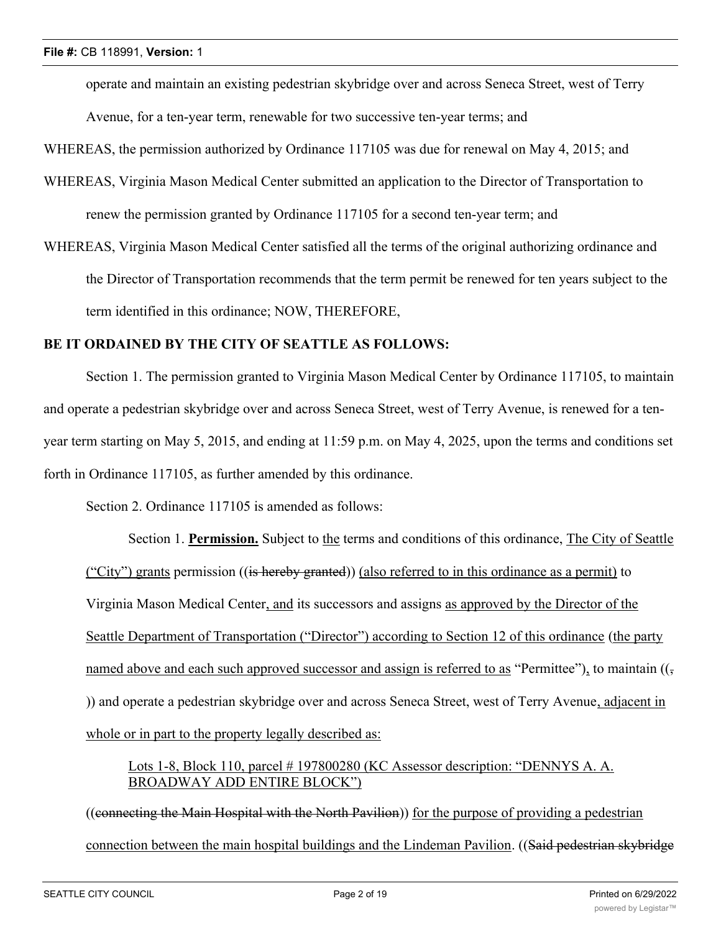operate and maintain an existing pedestrian skybridge over and across Seneca Street, west of Terry Avenue, for a ten-year term, renewable for two successive ten-year terms; and

WHEREAS, the permission authorized by Ordinance 117105 was due for renewal on May 4, 2015; and

- WHEREAS, Virginia Mason Medical Center submitted an application to the Director of Transportation to renew the permission granted by Ordinance 117105 for a second ten-year term; and
- WHEREAS, Virginia Mason Medical Center satisfied all the terms of the original authorizing ordinance and the Director of Transportation recommends that the term permit be renewed for ten years subject to the term identified in this ordinance; NOW, THEREFORE,

#### **BE IT ORDAINED BY THE CITY OF SEATTLE AS FOLLOWS:**

Section 1. The permission granted to Virginia Mason Medical Center by Ordinance 117105, to maintain and operate a pedestrian skybridge over and across Seneca Street, west of Terry Avenue, is renewed for a tenyear term starting on May 5, 2015, and ending at 11:59 p.m. on May 4, 2025, upon the terms and conditions set forth in Ordinance 117105, as further amended by this ordinance.

Section 2. Ordinance 117105 is amended as follows:

Section 1. **Permission.** Subject to the terms and conditions of this ordinance, The City of Seattle ("City") grants permission ((is hereby granted)) (also referred to in this ordinance as a permit) to Virginia Mason Medical Center, and its successors and assigns as approved by the Director of the Seattle Department of Transportation ("Director") according to Section 12 of this ordinance (the party named above and each such approved successor and assign is referred to as "Permittee"), to maintain  $((\frac{1}{2}$ )) and operate a pedestrian skybridge over and across Seneca Street, west of Terry Avenue, adjacent in whole or in part to the property legally described as:

#### Lots 1-8, Block 110, parcel # 197800280 (KC Assessor description: "DENNYS A. A. BROADWAY ADD ENTIRE BLOCK")

((connecting the Main Hospital with the North Pavilion)) for the purpose of providing a pedestrian connection between the main hospital buildings and the Lindeman Pavilion. ((Said pedestrian skybridge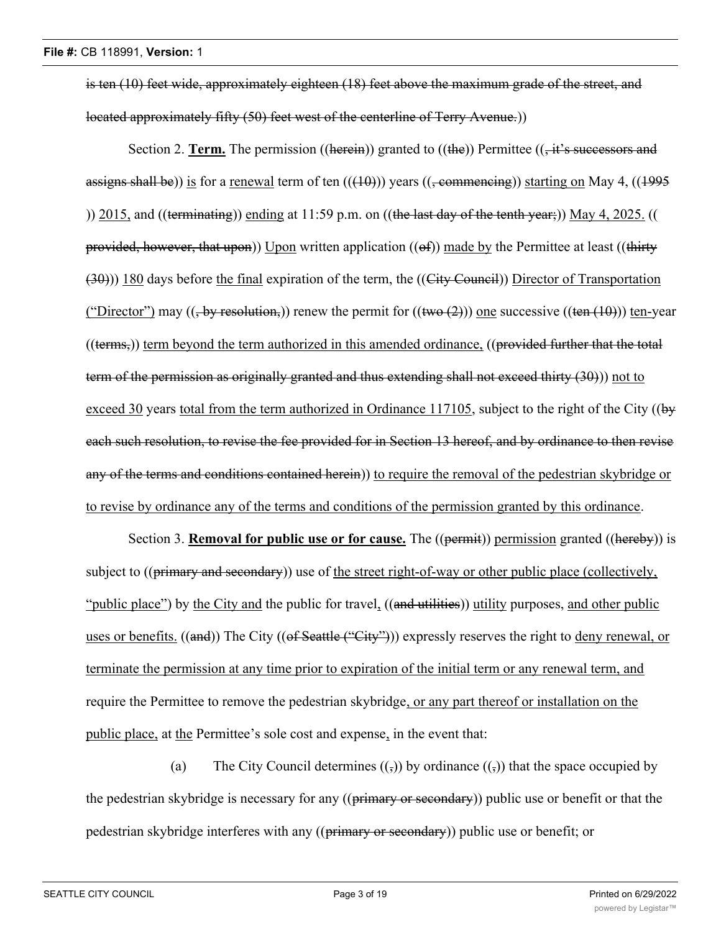is ten (10) feet wide, approximately eighteen (18) feet above the maximum grade of the street, and located approximately fifty (50) feet west of the centerline of Terry Avenue.))

Section 2. **Term.** The permission ((herein)) granted to ((the)) Permittee (( $\frac{1}{1}$  it's successors and assigns shall be)) is for a renewal term of ten  $((+10))$  years  $((+100))$  starting on May 4,  $((+995))$ )) 2015, and ((terminating)) ending at 11:59 p.m. on ((the last day of the tenth year;)) May 4, 2025. (( provided, however, that upon)) Upon written application  $((ef))$  made by the Permittee at least  $((thirty$ (30))) 180 days before the final expiration of the term, the ((City Council)) Director of Transportation ("Director") may  $((, by resolution,))$  renew the permit for  $((two (2)))$  one successive  $((ten (10)))$  ten-year ((terms,)) term beyond the term authorized in this amended ordinance, ((provided further that the total term of the permission as originally granted and thus extending shall not exceed thirty (30))) not to exceed 30 years total from the term authorized in Ordinance 117105, subject to the right of the City (( $b\ddot{\mathbf{v}}$ each such resolution, to revise the fee provided for in Section 13 hereof, and by ordinance to then revise any of the terms and conditions contained herein)) to require the removal of the pedestrian skybridge or to revise by ordinance any of the terms and conditions of the permission granted by this ordinance.

Section 3. **Removal for public use or for cause.** The ((permit)) permission granted ((hereby)) is subject to  $((\text{primary and secondary}))$  use of the street right-of-way or other public place (collectively, "public place") by the City and the public for travel, ((and utilities)) utility purposes, and other public uses or benefits. ((and)) The City ((of Seattle ("City"))) expressly reserves the right to deny renewal, or terminate the permission at any time prior to expiration of the initial term or any renewal term, and require the Permittee to remove the pedestrian skybridge, or any part thereof or installation on the public place, at the Permittee's sole cost and expense, in the event that:

(a) The City Council determines  $((\cdot))$  by ordinance  $((\cdot))$  that the space occupied by the pedestrian skybridge is necessary for any ((primary or secondary)) public use or benefit or that the pedestrian skybridge interferes with any ((primary or secondary)) public use or benefit; or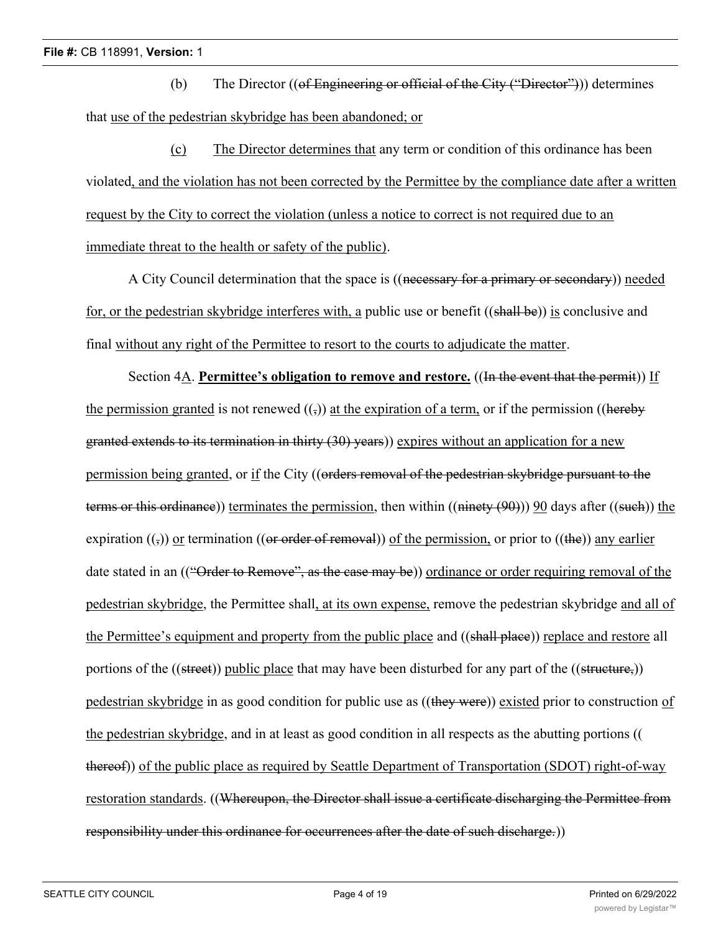(b) The Director  $((\text{of Engineering or official of the City ("Director")))$  determines that use of the pedestrian skybridge has been abandoned; or

(c) The Director determines that any term or condition of this ordinance has been violated, and the violation has not been corrected by the Permittee by the compliance date after a written request by the City to correct the violation (unless a notice to correct is not required due to an immediate threat to the health or safety of the public).

A City Council determination that the space is ((necessary for a primary or secondary)) needed for, or the pedestrian skybridge interferes with, a public use or benefit ((shall be)) is conclusive and final without any right of the Permittee to resort to the courts to adjudicate the matter.

Section 4A. **Permittee's obligation to remove and restore.** ((In the event that the permit)) If the permission granted is not renewed  $($ ,)) at the expiration of a term, or if the permission ((hereby granted extends to its termination in thirty (30) years)) expires without an application for a new permission being granted, or if the City ((orders removal of the pedestrian skybridge pursuant to the terms or this ordinance)) terminates the permission, then within  $((\text{ninety (90)}))$  90 days after  $((\text{such})$  the expiration  $((\cdot))$  or termination ((or order of removal)) of the permission, or prior to ((the)) any earlier date stated in an (("Order to Remove", as the case may be)) ordinance or order requiring removal of the pedestrian skybridge, the Permittee shall, at its own expense, remove the pedestrian skybridge and all of the Permittee's equipment and property from the public place and ((shall place)) replace and restore all portions of the ((street)) public place that may have been disturbed for any part of the ((structure,)) pedestrian skybridge in as good condition for public use as ((they were)) existed prior to construction of the pedestrian skybridge, and in at least as good condition in all respects as the abutting portions (( thereof)) of the public place as required by Seattle Department of Transportation (SDOT) right-of-way restoration standards. ((Whereupon, the Director shall issue a certificate discharging the Permittee from responsibility under this ordinance for occurrences after the date of such discharge.)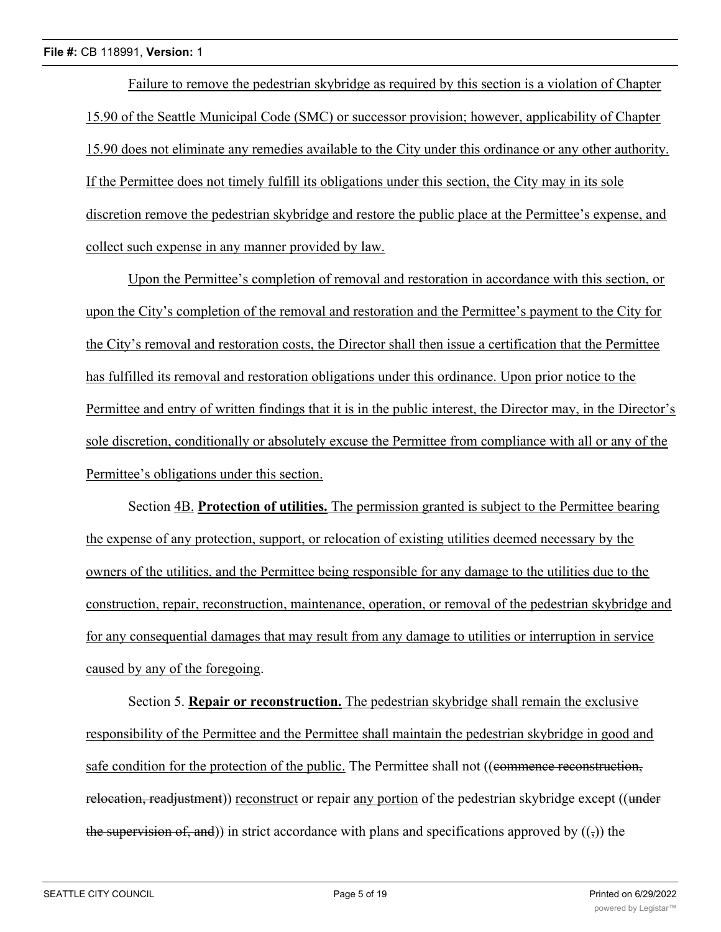Failure to remove the pedestrian skybridge as required by this section is a violation of Chapter 15.90 of the Seattle Municipal Code (SMC) or successor provision; however, applicability of Chapter 15.90 does not eliminate any remedies available to the City under this ordinance or any other authority. If the Permittee does not timely fulfill its obligations under this section, the City may in its sole discretion remove the pedestrian skybridge and restore the public place at the Permittee's expense, and collect such expense in any manner provided by law.

Upon the Permittee's completion of removal and restoration in accordance with this section, or upon the City's completion of the removal and restoration and the Permittee's payment to the City for the City's removal and restoration costs, the Director shall then issue a certification that the Permittee has fulfilled its removal and restoration obligations under this ordinance. Upon prior notice to the Permittee and entry of written findings that it is in the public interest, the Director may, in the Director's sole discretion, conditionally or absolutely excuse the Permittee from compliance with all or any of the Permittee's obligations under this section.

Section 4B. **Protection of utilities.** The permission granted is subject to the Permittee bearing the expense of any protection, support, or relocation of existing utilities deemed necessary by the owners of the utilities, and the Permittee being responsible for any damage to the utilities due to the construction, repair, reconstruction, maintenance, operation, or removal of the pedestrian skybridge and for any consequential damages that may result from any damage to utilities or interruption in service caused by any of the foregoing.

Section 5. **Repair or reconstruction.** The pedestrian skybridge shall remain the exclusive responsibility of the Permittee and the Permittee shall maintain the pedestrian skybridge in good and safe condition for the protection of the public. The Permittee shall not ((eommence reconstruction, relocation, readjustment)) reconstruct or repair any portion of the pedestrian skybridge except ((under the supervision of, and)) in strict accordance with plans and specifications approved by  $((\tau))$  the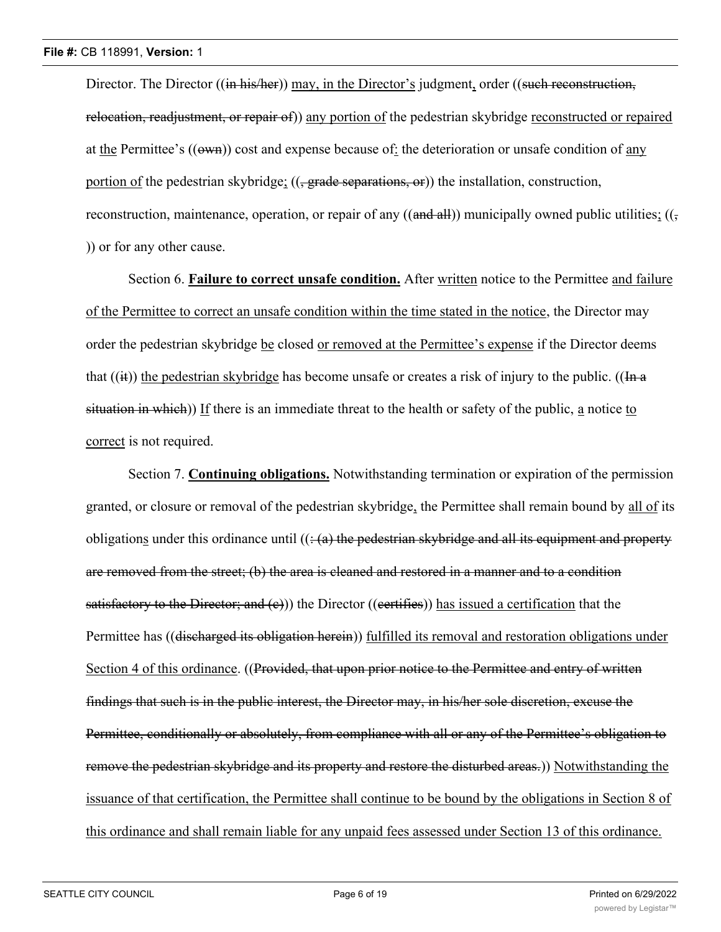Director. The Director ((in his/her)) may, in the Director's judgment, order ((such reconstruction, relocation, readjustment, or repair of)) any portion of the pedestrian skybridge reconstructed or repaired at the Permittee's  $((\omega w_n))$  cost and expense because of: the deterioration or unsafe condition of any portion of the pedestrian skybridge; ((<del>, grade separations, or</del>)) the installation, construction, reconstruction, maintenance, operation, or repair of any  $((\text{and all}))$  municipally owned public utilities;  $((\frac{1}{2}, \frac{1}{2})$ )) or for any other cause.

Section 6. **Failure to correct unsafe condition.** After written notice to the Permittee and failure of the Permittee to correct an unsafe condition within the time stated in the notice, the Director may order the pedestrian skybridge be closed or removed at the Permittee's expense if the Director deems that  $((ii))$  the pedestrian skybridge has become unsafe or creates a risk of injury to the public. ( $(\text{In} \cdot \text{a})$ situation in which)) If there is an immediate threat to the health or safety of the public, a notice to correct is not required.

Section 7. **Continuing obligations.** Notwithstanding termination or expiration of the permission granted, or closure or removal of the pedestrian skybridge, the Permittee shall remain bound by all of its obligations under this ordinance until  $((\frac{1}{2})$  the pedestrian skybridge and all its equipment and property are removed from the street; (b) the area is cleaned and restored in a manner and to a condition satisfactory to the Director; and  $(c)$ )) the Director ((certifies)) has issued a certification that the Permittee has ((discharged its obligation herein)) fulfilled its removal and restoration obligations under Section 4 of this ordinance. ((Provided, that upon prior notice to the Permittee and entry of written findings that such is in the public interest, the Director may, in his/her sole discretion, excuse the Permittee, conditionally or absolutely, from compliance with all or any of the Permittee's obligation to remove the pedestrian skybridge and its property and restore the disturbed areas.)) Notwithstanding the issuance of that certification, the Permittee shall continue to be bound by the obligations in Section 8 of this ordinance and shall remain liable for any unpaid fees assessed under Section 13 of this ordinance.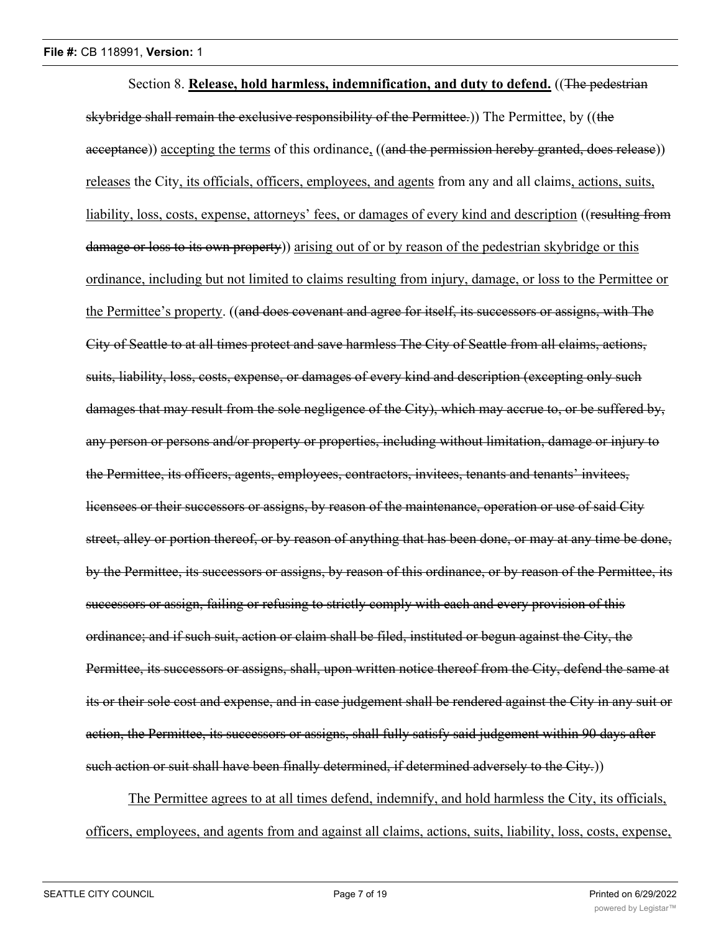Section 8. **Release, hold harmless, indemnification, and duty to defend.** ((The pedestrian skybridge shall remain the exclusive responsibility of the Permittee.)) The Permittee, by ((the acceptance)) accepting the terms of this ordinance, ((and the permission hereby granted, does release)) releases the City, its officials, officers, employees, and agents from any and all claims, actions, suits, liability, loss, costs, expense, attorneys' fees, or damages of every kind and description ((resulting from damage or loss to its own property) arising out of or by reason of the pedestrian skybridge or this ordinance, including but not limited to claims resulting from injury, damage, or loss to the Permittee or the Permittee's property. ((and does covenant and agree for itself, its successors or assigns, with The City of Seattle to at all times protect and save harmless The City of Seattle from all claims, actions, suits, liability, loss, costs, expense, or damages of every kind and description (excepting only such damages that may result from the sole negligence of the City), which may accrue to, or be suffered by, any person or persons and/or property or properties, including without limitation, damage or injury to the Permittee, its officers, agents, employees, contractors, invitees, tenants and tenants' invitees, licensees or their successors or assigns, by reason of the maintenance, operation or use of said City street, alley or portion thereof, or by reason of anything that has been done, or may at any time be done, by the Permittee, its successors or assigns, by reason of this ordinance, or by reason of the Permittee, its successors or assign, failing or refusing to strictly comply with each and every provision of this ordinance; and if such suit, action or claim shall be filed, instituted or begun against the City, the Permittee, its successors or assigns, shall, upon written notice thereof from the City, defend the same at its or their sole cost and expense, and in case judgement shall be rendered against the City in any suit or action, the Permittee, its successors or assigns, shall fully satisfy said judgement within 90 days after such action or suit shall have been finally determined, if determined adversely to the City.)

The Permittee agrees to at all times defend, indemnify, and hold harmless the City, its officials, officers, employees, and agents from and against all claims, actions, suits, liability, loss, costs, expense,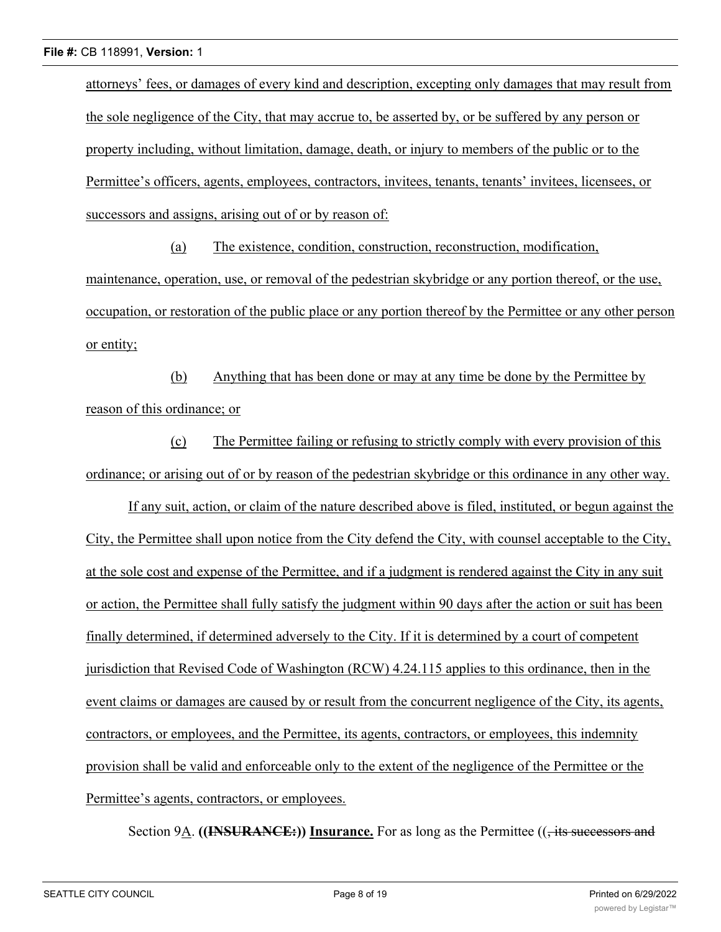attorneys' fees, or damages of every kind and description, excepting only damages that may result from the sole negligence of the City, that may accrue to, be asserted by, or be suffered by any person or property including, without limitation, damage, death, or injury to members of the public or to the Permittee's officers, agents, employees, contractors, invitees, tenants, tenants' invitees, licensees, or successors and assigns, arising out of or by reason of:

(a) The existence, condition, construction, reconstruction, modification, maintenance, operation, use, or removal of the pedestrian skybridge or any portion thereof, or the use, occupation, or restoration of the public place or any portion thereof by the Permittee or any other person or entity;

(b) Anything that has been done or may at any time be done by the Permittee by reason of this ordinance; or

(c) The Permittee failing or refusing to strictly comply with every provision of this ordinance; or arising out of or by reason of the pedestrian skybridge or this ordinance in any other way.

If any suit, action, or claim of the nature described above is filed, instituted, or begun against the City, the Permittee shall upon notice from the City defend the City, with counsel acceptable to the City, at the sole cost and expense of the Permittee, and if a judgment is rendered against the City in any suit or action, the Permittee shall fully satisfy the judgment within 90 days after the action or suit has been finally determined, if determined adversely to the City. If it is determined by a court of competent jurisdiction that Revised Code of Washington (RCW) 4.24.115 applies to this ordinance, then in the event claims or damages are caused by or result from the concurrent negligence of the City, its agents, contractors, or employees, and the Permittee, its agents, contractors, or employees, this indemnity provision shall be valid and enforceable only to the extent of the negligence of the Permittee or the Permittee's agents, contractors, or employees.

Section 9A. **((INSURANCE:))** Insurance. For as long as the Permittee ((, its successors and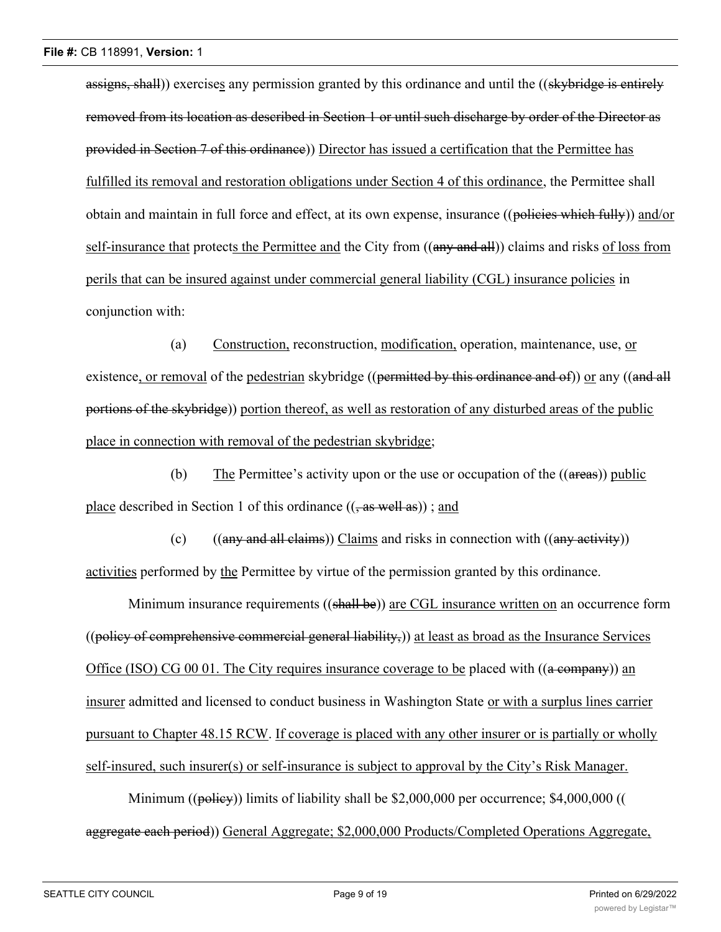assigns, shall)) exercises any permission granted by this ordinance and until the ((skybridge is entirely removed from its location as described in Section 1 or until such discharge by order of the Director as provided in Section 7 of this ordinance)) Director has issued a certification that the Permittee has fulfilled its removal and restoration obligations under Section 4 of this ordinance, the Permittee shall obtain and maintain in full force and effect, at its own expense, insurance ((policies which fully)) and/or self-insurance that protects the Permittee and the City from ((any and all)) claims and risks of loss from perils that can be insured against under commercial general liability (CGL) insurance policies in conjunction with:

(a) Construction, reconstruction, modification, operation, maintenance, use, or existence, or removal of the pedestrian skybridge ((permitted by this ordinance and of)) or any ((and all portions of the skybridge)) portion thereof, as well as restoration of any disturbed areas of the public place in connection with removal of the pedestrian skybridge;

(b) The Permittee's activity upon or the use or occupation of the ((areas)) public place described in Section 1 of this ordinance  $((, as well as))$ ; and

(c)  $((any and all claims))$  Claims and risks in connection with  $((any activity))$ activities performed by the Permittee by virtue of the permission granted by this ordinance.

Minimum insurance requirements ((shall be)) are CGL insurance written on an occurrence form  $((\text{policy of comprehensive commercial general liability}))$  at least as broad as the Insurance Services Office (ISO) CG 00 01. The City requires insurance coverage to be placed with  $((a \rightarrow c)$  and insurer admitted and licensed to conduct business in Washington State or with a surplus lines carrier pursuant to Chapter 48.15 RCW. If coverage is placed with any other insurer or is partially or wholly self-insured, such insurer(s) or self-insurance is subject to approval by the City's Risk Manager.

Minimum ((policy)) limits of liability shall be \$2,000,000 per occurrence; \$4,000,000 (( aggregate each period)) General Aggregate; \$2,000,000 Products/Completed Operations Aggregate,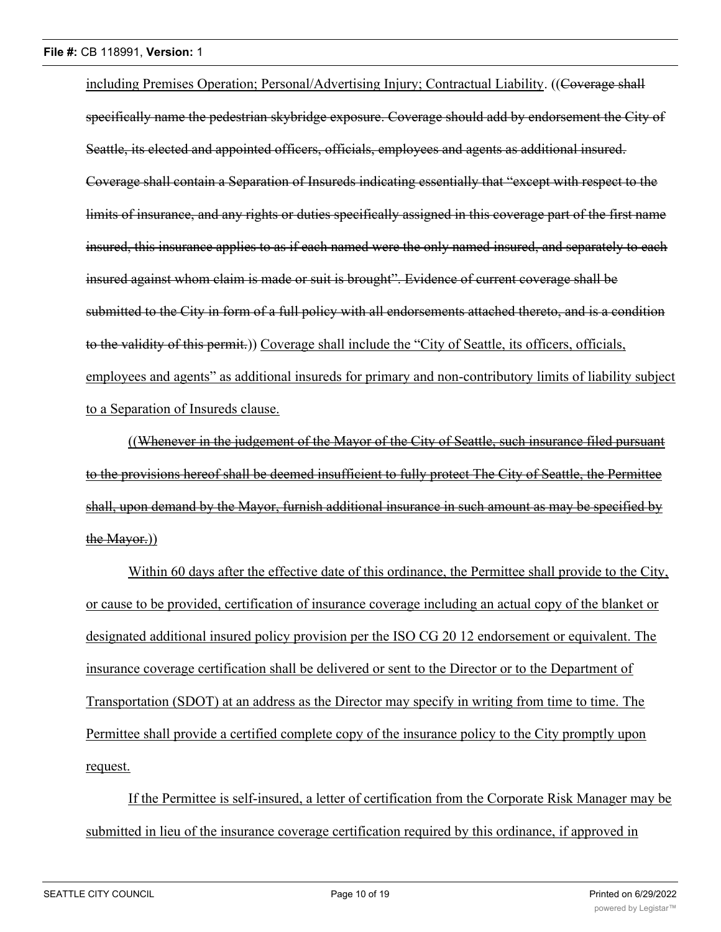including Premises Operation; Personal/Advertising Injury; Contractual Liability. ((Coverage shall specifically name the pedestrian skybridge exposure. Coverage should add by endorsement the City of Seattle, its elected and appointed officers, officials, employees and agents as additional insured. Coverage shall contain a Separation of Insureds indicating essentially that "except with respect to the limits of insurance, and any rights or duties specifically assigned in this coverage part of the first name insured, this insurance applies to as if each named were the only named insured, and separately to each insured against whom claim is made or suit is brought". Evidence of current coverage shall be submitted to the City in form of a full policy with all endorsements attached thereto, and is a condition to the validity of this permit.)) Coverage shall include the "City of Seattle, its officers, officials, employees and agents" as additional insureds for primary and non-contributory limits of liability subject to a Separation of Insureds clause.

((Whenever in the judgement of the Mayor of the City of Seattle, such insurance filed pursuant to the provisions hereof shall be deemed insufficient to fully protect The City of Seattle, the Permittee shall, upon demand by the Mayor, furnish additional insurance in such amount as may be specified by the Mayor.))

Within 60 days after the effective date of this ordinance, the Permittee shall provide to the City, or cause to be provided, certification of insurance coverage including an actual copy of the blanket or designated additional insured policy provision per the ISO CG 20 12 endorsement or equivalent. The insurance coverage certification shall be delivered or sent to the Director or to the Department of Transportation (SDOT) at an address as the Director may specify in writing from time to time. The Permittee shall provide a certified complete copy of the insurance policy to the City promptly upon request.

If the Permittee is self-insured, a letter of certification from the Corporate Risk Manager may be submitted in lieu of the insurance coverage certification required by this ordinance, if approved in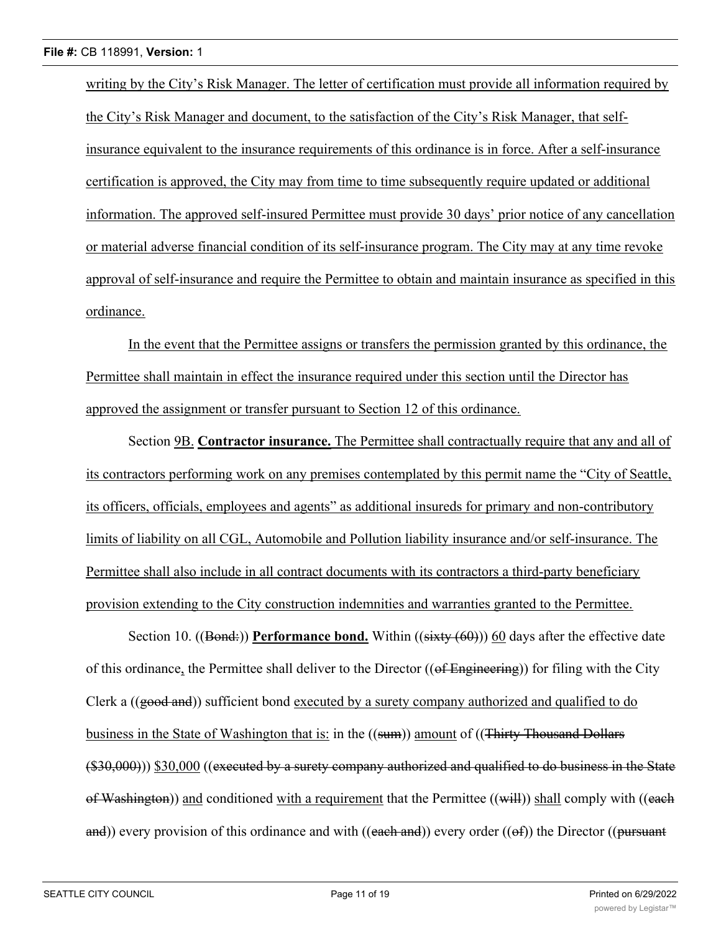writing by the City's Risk Manager. The letter of certification must provide all information required by the City's Risk Manager and document, to the satisfaction of the City's Risk Manager, that selfinsurance equivalent to the insurance requirements of this ordinance is in force. After a self-insurance certification is approved, the City may from time to time subsequently require updated or additional information. The approved self-insured Permittee must provide 30 days' prior notice of any cancellation or material adverse financial condition of its self-insurance program. The City may at any time revoke approval of self-insurance and require the Permittee to obtain and maintain insurance as specified in this ordinance.

In the event that the Permittee assigns or transfers the permission granted by this ordinance, the Permittee shall maintain in effect the insurance required under this section until the Director has approved the assignment or transfer pursuant to Section 12 of this ordinance.

Section 9B. **Contractor insurance.** The Permittee shall contractually require that any and all of its contractors performing work on any premises contemplated by this permit name the "City of Seattle, its officers, officials, employees and agents" as additional insureds for primary and non-contributory limits of liability on all CGL, Automobile and Pollution liability insurance and/or self-insurance. The Permittee shall also include in all contract documents with its contractors a third-party beneficiary provision extending to the City construction indemnities and warranties granted to the Permittee.

Section 10. ((Bond:)) **Performance bond.** Within ((sixty (60))) 60 days after the effective date of this ordinance, the Permittee shall deliver to the Director ((of Engineering)) for filing with the City Clerk a  $((\text{good and}))$  sufficient bond executed by a surety company authorized and qualified to do business in the State of Washington that is: in the ((sum)) amount of ((Thirty Thousand Dollars (\$30,000))) \$30,000 ((executed by a surety company authorized and qualified to do business in the State of Washington)) and conditioned with a requirement that the Permittee  $((\text{will}))$  shall comply with  $((\text{each})$ and)) every provision of this ordinance and with ((each and)) every order (( $\Theta$ f)) the Director (( $\theta$ ursuant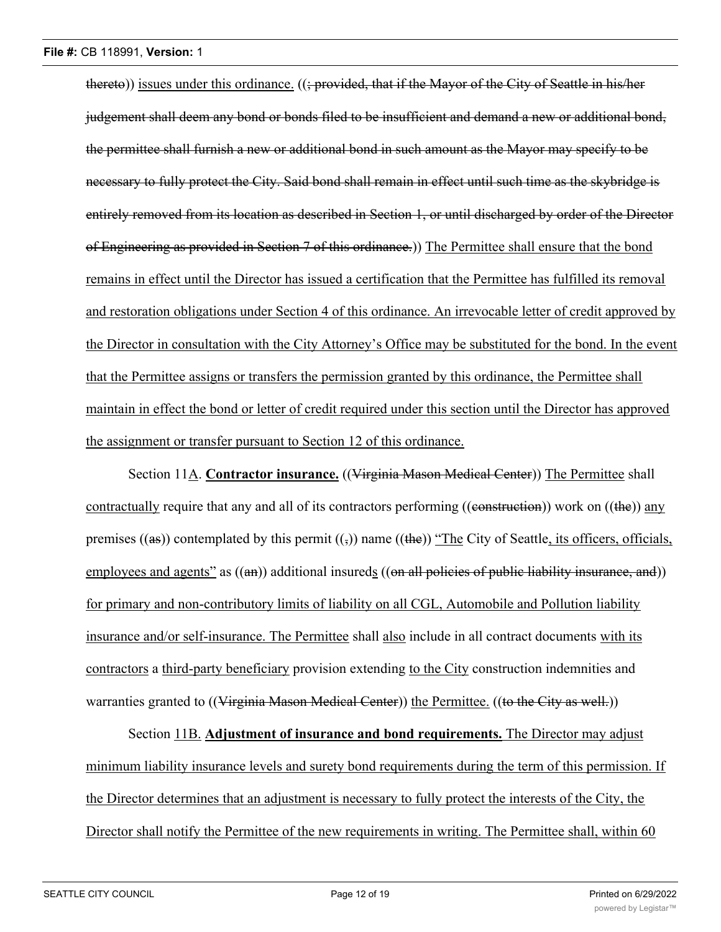thereto)) issues under this ordinance. ((; provided, that if the Mayor of the City of Seattle in his/her judgement shall deem any bond or bonds filed to be insufficient and demand a new or additional bond, the permittee shall furnish a new or additional bond in such amount as the Mayor may specify to be necessary to fully protect the City. Said bond shall remain in effect until such time as the skybridge is entirely removed from its location as described in Section 1, or until discharged by order of the Director of Engineering as provided in Section 7 of this ordinance.)) The Permittee shall ensure that the bond remains in effect until the Director has issued a certification that the Permittee has fulfilled its removal and restoration obligations under Section 4 of this ordinance. An irrevocable letter of credit approved by the Director in consultation with the City Attorney's Office may be substituted for the bond. In the event that the Permittee assigns or transfers the permission granted by this ordinance, the Permittee shall maintain in effect the bond or letter of credit required under this section until the Director has approved the assignment or transfer pursuant to Section 12 of this ordinance.

Section 11A. **Contractor insurance.** ((Virginia Mason Medical Center)) The Permittee shall contractually require that any and all of its contractors performing (( $\epsilon$ )) work on ( $\epsilon$ )) any premises ((as)) contemplated by this permit  $((\cdot))$  name ((the)) "The City of Seattle, its officers, officials, employees and agents" as ((an)) additional insureds ((on all policies of public liability insurance, and)) for primary and non-contributory limits of liability on all CGL, Automobile and Pollution liability insurance and/or self-insurance. The Permittee shall also include in all contract documents with its contractors a third-party beneficiary provision extending to the City construction indemnities and warranties granted to ((Virginia Mason Medical Center)) the Permittee. ((to the City as well.))

Section 11B. **Adjustment of insurance and bond requirements.** The Director may adjust minimum liability insurance levels and surety bond requirements during the term of this permission. If the Director determines that an adjustment is necessary to fully protect the interests of the City, the Director shall notify the Permittee of the new requirements in writing. The Permittee shall, within 60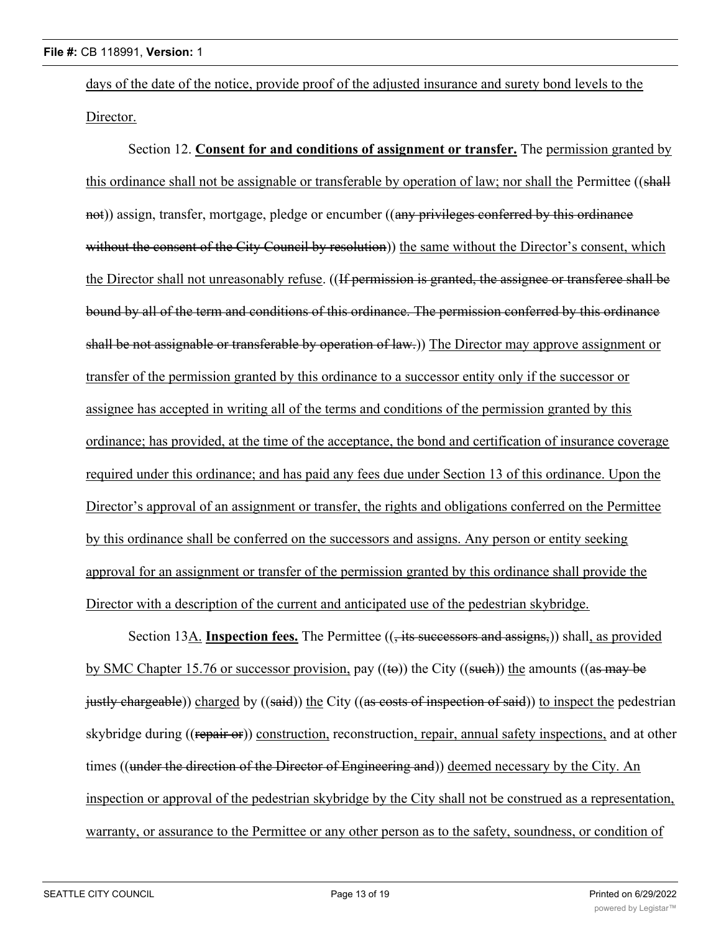days of the date of the notice, provide proof of the adjusted insurance and surety bond levels to the Director.

Section 12. **Consent for and conditions of assignment or transfer.** The permission granted by this ordinance shall not be assignable or transferable by operation of law; nor shall the Permittee ((shall not)) assign, transfer, mortgage, pledge or encumber ((any privileges conferred by this ordinance without the consent of the City Council by resolution)) the same without the Director's consent, which the Director shall not unreasonably refuse. ((If permission is granted, the assignee or transferee shall be bound by all of the term and conditions of this ordinance. The permission conferred by this ordinance shall be not assignable or transferable by operation of law.)) The Director may approve assignment or transfer of the permission granted by this ordinance to a successor entity only if the successor or assignee has accepted in writing all of the terms and conditions of the permission granted by this ordinance; has provided, at the time of the acceptance, the bond and certification of insurance coverage required under this ordinance; and has paid any fees due under Section 13 of this ordinance. Upon the Director's approval of an assignment or transfer, the rights and obligations conferred on the Permittee by this ordinance shall be conferred on the successors and assigns. Any person or entity seeking approval for an assignment or transfer of the permission granted by this ordinance shall provide the Director with a description of the current and anticipated use of the pedestrian skybridge.

Section 13A. **Inspection fees.** The Permittee ((, its successors and assigns,)) shall, as provided by SMC Chapter 15.76 or successor provision, pay  $((\omega))$  the City  $((\omega + \omega))$  the amounts  $((\omega + \omega))$ justly chargeable)) charged by ((said)) the City ((as costs of inspection of said)) to inspect the pedestrian skybridge during ((repair or)) construction, reconstruction, repair, annual safety inspections, and at other times ((under the direction of the Director of Engineering and)) deemed necessary by the City. An inspection or approval of the pedestrian skybridge by the City shall not be construed as a representation, warranty, or assurance to the Permittee or any other person as to the safety, soundness, or condition of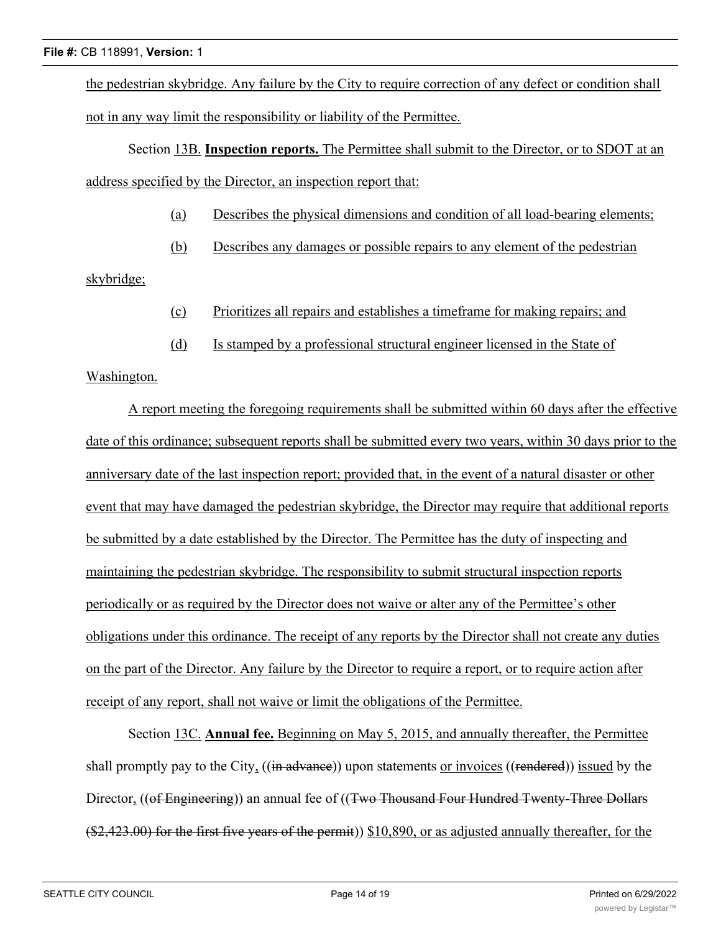the pedestrian skybridge. Any failure by the City to require correction of any defect or condition shall not in any way limit the responsibility or liability of the Permittee.

Section 13B. **Inspection reports.** The Permittee shall submit to the Director, or to SDOT at an address specified by the Director, an inspection report that:

- (a) Describes the physical dimensions and condition of all load-bearing elements;
- (b) Describes any damages or possible repairs to any element of the pedestrian

# skybridge;

- (c) Prioritizes all repairs and establishes a timeframe for making repairs; and
- (d) Is stamped by a professional structural engineer licensed in the State of

# Washington.

A report meeting the foregoing requirements shall be submitted within 60 days after the effective date of this ordinance; subsequent reports shall be submitted every two years, within 30 days prior to the anniversary date of the last inspection report; provided that, in the event of a natural disaster or other event that may have damaged the pedestrian skybridge, the Director may require that additional reports be submitted by a date established by the Director. The Permittee has the duty of inspecting and maintaining the pedestrian skybridge. The responsibility to submit structural inspection reports periodically or as required by the Director does not waive or alter any of the Permittee's other obligations under this ordinance. The receipt of any reports by the Director shall not create any duties on the part of the Director. Any failure by the Director to require a report, or to require action after receipt of any report, shall not waive or limit the obligations of the Permittee.

Section 13C. **Annual fee.** Beginning on May 5, 2015, and annually thereafter, the Permittee shall promptly pay to the City, ((in advance)) upon statements or invoices ((rendered)) issued by the Director, ((of Engineering)) an annual fee of ((Two Thousand Four Hundred Twenty-Three Dollars (\$2,423.00) for the first five years of the permit)) \$10,890, or as adjusted annually thereafter, for the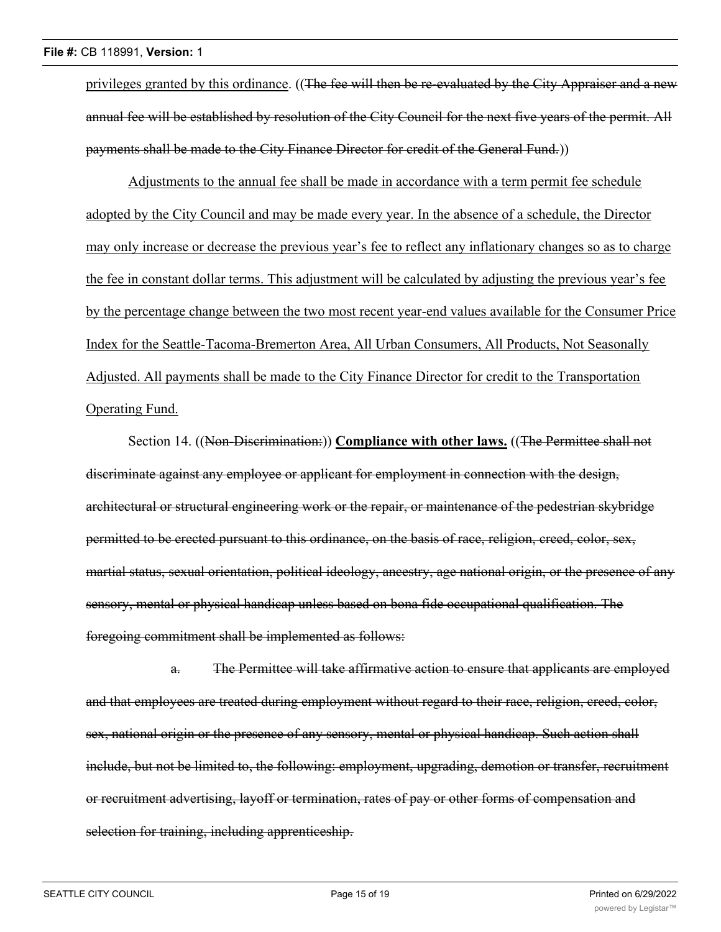privileges granted by this ordinance. ((The fee will then be re-evaluated by the City Appraiser and a new annual fee will be established by resolution of the City Council for the next five years of the permit. All payments shall be made to the City Finance Director for credit of the General Fund.))

Adjustments to the annual fee shall be made in accordance with a term permit fee schedule adopted by the City Council and may be made every year. In the absence of a schedule, the Director may only increase or decrease the previous year's fee to reflect any inflationary changes so as to charge the fee in constant dollar terms. This adjustment will be calculated by adjusting the previous year's fee by the percentage change between the two most recent year-end values available for the Consumer Price Index for the Seattle-Tacoma-Bremerton Area, All Urban Consumers, All Products, Not Seasonally Adjusted. All payments shall be made to the City Finance Director for credit to the Transportation Operating Fund.

Section 14. ((Non-Discrimination:)) **Compliance with other laws.** ((The Permittee shall not discriminate against any employee or applicant for employment in connection with the design, architectural or structural engineering work or the repair, or maintenance of the pedestrian skybridge permitted to be erected pursuant to this ordinance, on the basis of race, religion, creed, color, sex, martial status, sexual orientation, political ideology, ancestry, age national origin, or the presence of any sensory, mental or physical handicap unless based on bona fide occupational qualification. The foregoing commitment shall be implemented as follows:

a. The Permittee will take affirmative action to ensure that applicants are employed and that employees are treated during employment without regard to their race, religion, creed, color, sex, national origin or the presence of any sensory, mental or physical handicap. Such action shall include, but not be limited to, the following: employment, upgrading, demotion or transfer, recruitment or recruitment advertising, layoff or termination, rates of pay or other forms of compensation and selection for training, including apprenticeship.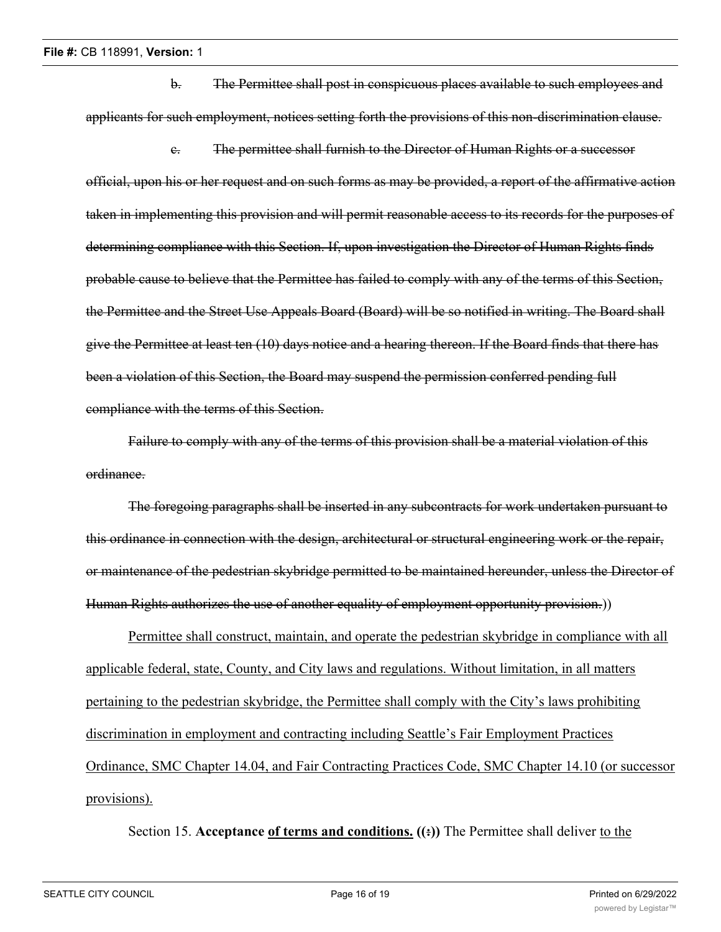b. The Permittee shall post in conspicuous places available to such employees and applicants for such employment, notices setting forth the provisions of this non-discrimination clause.

c. The permittee shall furnish to the Director of Human Rights or a successor official, upon his or her request and on such forms as may be provided, a report of the affirmative action taken in implementing this provision and will permit reasonable access to its records for the purposes of determining compliance with this Section. If, upon investigation the Director of Human Rights finds probable cause to believe that the Permittee has failed to comply with any of the terms of this Section, the Permittee and the Street Use Appeals Board (Board) will be so notified in writing. The Board shall give the Permittee at least ten (10) days notice and a hearing thereon. If the Board finds that there has been a violation of this Section, the Board may suspend the permission conferred pending full compliance with the terms of this Section.

Failure to comply with any of the terms of this provision shall be a material violation of this ordinance.

The foregoing paragraphs shall be inserted in any subcontracts for work undertaken pursuant to this ordinance in connection with the design, architectural or structural engineering work or the repair, or maintenance of the pedestrian skybridge permitted to be maintained hereunder, unless the Director of Human Rights authorizes the use of another equality of employment opportunity provision.))

Permittee shall construct, maintain, and operate the pedestrian skybridge in compliance with all applicable federal, state, County, and City laws and regulations. Without limitation, in all matters pertaining to the pedestrian skybridge, the Permittee shall comply with the City's laws prohibiting discrimination in employment and contracting including Seattle's Fair Employment Practices Ordinance, SMC Chapter 14.04, and Fair Contracting Practices Code, SMC Chapter 14.10 (or successor provisions).

Section 15. **Acceptance** of terms and conditions. ((:)) The Permittee shall deliver to the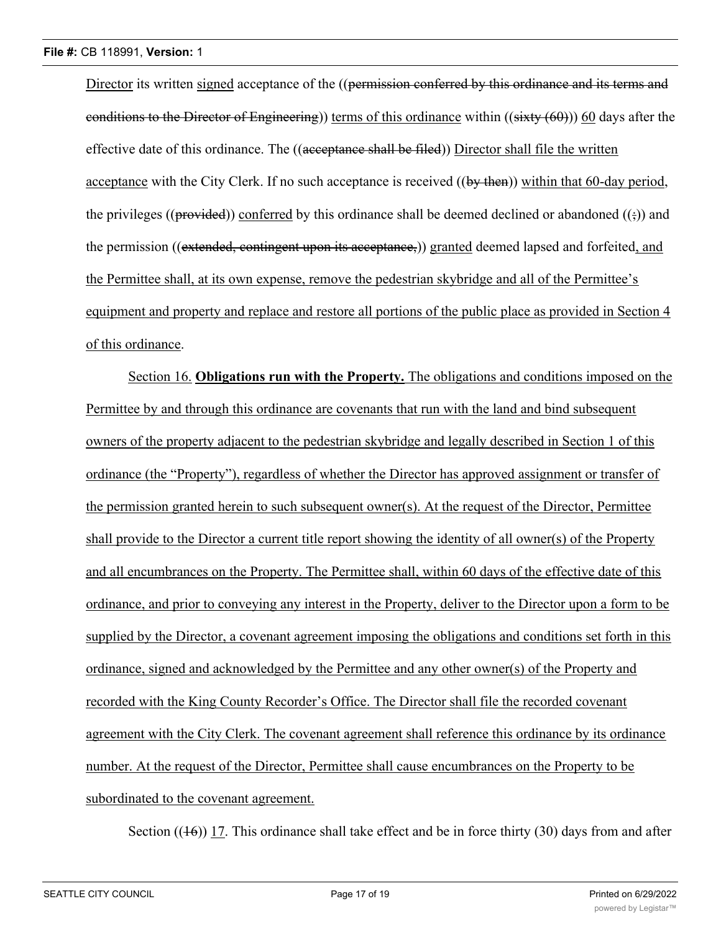Director its written signed acceptance of the ((permission conferred by this ordinance and its terms and conditions to the Director of Engineering)) terms of this ordinance within  $((sixty (60)))$  60 days after the effective date of this ordinance. The ((acceptance shall be filed)) Director shall file the written acceptance with the City Clerk. If no such acceptance is received ((by then)) within that 60-day period, the privileges (( $\beta$ rovided)) conferred by this ordinance shall be deemed declined or abandoned ( $(\frac{1}{2})$ ) and the permission ((extended, contingent upon its acceptance,)) granted deemed lapsed and forfeited, and the Permittee shall, at its own expense, remove the pedestrian skybridge and all of the Permittee's equipment and property and replace and restore all portions of the public place as provided in Section 4 of this ordinance.

Section 16. **Obligations run with the Property.** The obligations and conditions imposed on the Permittee by and through this ordinance are covenants that run with the land and bind subsequent owners of the property adjacent to the pedestrian skybridge and legally described in Section 1 of this ordinance (the "Property"), regardless of whether the Director has approved assignment or transfer of the permission granted herein to such subsequent owner(s). At the request of the Director, Permittee shall provide to the Director a current title report showing the identity of all owner(s) of the Property and all encumbrances on the Property. The Permittee shall, within 60 days of the effective date of this ordinance, and prior to conveying any interest in the Property, deliver to the Director upon a form to be supplied by the Director, a covenant agreement imposing the obligations and conditions set forth in this ordinance, signed and acknowledged by the Permittee and any other owner(s) of the Property and recorded with the King County Recorder's Office. The Director shall file the recorded covenant agreement with the City Clerk. The covenant agreement shall reference this ordinance by its ordinance number. At the request of the Director, Permittee shall cause encumbrances on the Property to be subordinated to the covenant agreement.

Section  $((16))$  17. This ordinance shall take effect and be in force thirty (30) days from and after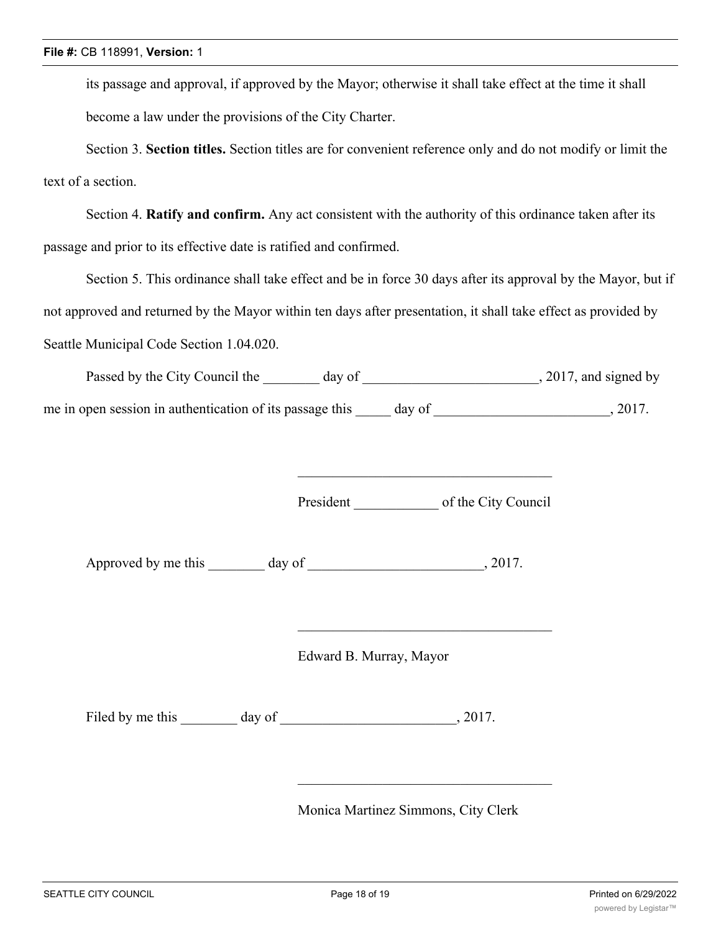its passage and approval, if approved by the Mayor; otherwise it shall take effect at the time it shall become a law under the provisions of the City Charter.

Section 3. **Section titles.** Section titles are for convenient reference only and do not modify or limit the text of a section.

Section 4. **Ratify and confirm.** Any act consistent with the authority of this ordinance taken after its passage and prior to its effective date is ratified and confirmed.

Section 5. This ordinance shall take effect and be in force 30 days after its approval by the Mayor, but if not approved and returned by the Mayor within ten days after presentation, it shall take effect as provided by Seattle Municipal Code Section 1.04.020.

Passed by the City Council the \_\_\_\_\_\_\_ day of \_\_\_\_\_\_\_\_\_\_\_\_\_\_\_\_\_\_\_\_\_\_\_\_, 2017, and signed by me in open session in authentication of its passage this day of  $\qquad \qquad$ , 2017.

President of the City Council

\_\_\_\_\_\_\_\_\_\_\_\_\_\_\_\_\_\_\_\_\_\_\_\_\_\_\_\_\_\_\_\_\_\_\_\_

Approved by me this day of 3017.

Edward B. Murray, Mayor

Filed by me this day of , 2017.

Monica Martinez Simmons, City Clerk